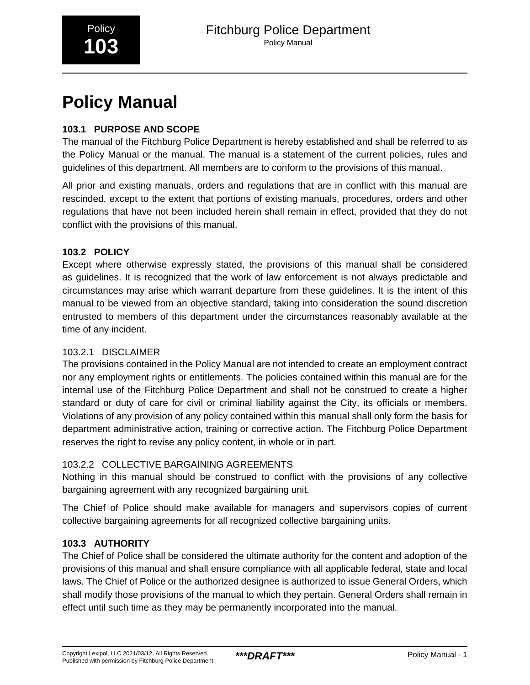# **Policy Manual**

# **103.1 PURPOSE AND SCOPE**

The manual of the Fitchburg Police Department is hereby established and shall be referred to as the Policy Manual or the manual. The manual is a statement of the current policies, rules and guidelines of this department. All members are to conform to the provisions of this manual.

All prior and existing manuals, orders and regulations that are in conflict with this manual are rescinded, except to the extent that portions of existing manuals, procedures, orders and other regulations that have not been included herein shall remain in effect, provided that they do not conflict with the provisions of this manual.

### **103.2 POLICY**

Except where otherwise expressly stated, the provisions of this manual shall be considered as guidelines. It is recognized that the work of law enforcement is not always predictable and circumstances may arise which warrant departure from these guidelines. It is the intent of this manual to be viewed from an objective standard, taking into consideration the sound discretion entrusted to members of this department under the circumstances reasonably available at the time of any incident.

#### 103.2.1 DISCLAIMER

The provisions contained in the Policy Manual are not intended to create an employment contract nor any employment rights or entitlements. The policies contained within this manual are for the internal use of the Fitchburg Police Department and shall not be construed to create a higher standard or duty of care for civil or criminal liability against the City, its officials or members. Violations of any provision of any policy contained within this manual shall only form the basis for department administrative action, training or corrective action. The Fitchburg Police Department reserves the right to revise any policy content, in whole or in part.

#### 103.2.2 COLLECTIVE BARGAINING AGREEMENTS

Nothing in this manual should be construed to conflict with the provisions of any collective bargaining agreement with any recognized bargaining unit.

The Chief of Police should make available for managers and supervisors copies of current collective bargaining agreements for all recognized collective bargaining units.

## **103.3 AUTHORITY**

The Chief of Police shall be considered the ultimate authority for the content and adoption of the provisions of this manual and shall ensure compliance with all applicable federal, state and local laws. The Chief of Police or the authorized designee is authorized to issue General Orders, which shall modify those provisions of the manual to which they pertain. General Orders shall remain in effect until such time as they may be permanently incorporated into the manual.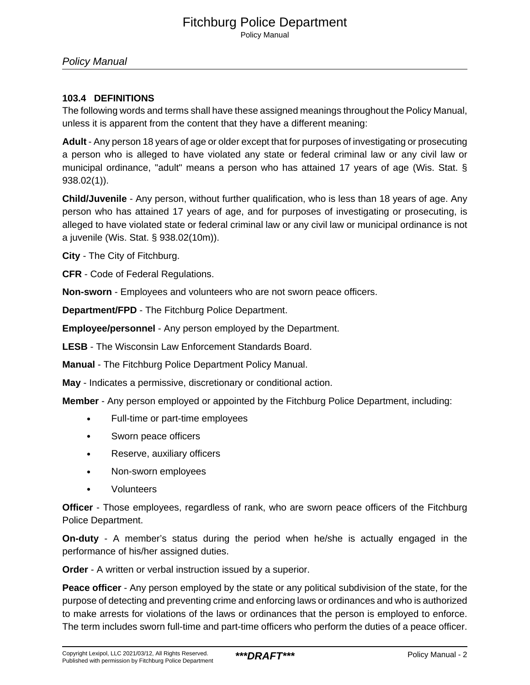Policy Manual

#### **103.4 DEFINITIONS**

The following words and terms shall have these assigned meanings throughout the Policy Manual, unless it is apparent from the content that they have a different meaning:

**Adult** - Any person 18 years of age or older except that for purposes of investigating or prosecuting a person who is alleged to have violated any state or federal criminal law or any civil law or municipal ordinance, "adult" means a person who has attained 17 years of age (Wis. Stat. § 938.02(1)).

**Child/Juvenile** - Any person, without further qualification, who is less than 18 years of age. Any person who has attained 17 years of age, and for purposes of investigating or prosecuting, is alleged to have violated state or federal criminal law or any civil law or municipal ordinance is not a juvenile (Wis. Stat. § 938.02(10m)).

**City** - The City of Fitchburg.

**CFR** - Code of Federal Regulations.

**Non-sworn** - Employees and volunteers who are not sworn peace officers.

**Department/FPD** - The Fitchburg Police Department.

**Employee/personnel** - Any person employed by the Department.

**LESB** - The Wisconsin Law Enforcement Standards Board.

**Manual** - The Fitchburg Police Department Policy Manual.

**May** - Indicates a permissive, discretionary or conditional action.

**Member** - Any person employed or appointed by the Fitchburg Police Department, including:

- Full-time or part-time employees
- Sworn peace officers
- Reserve, auxiliary officers
- Non-sworn employees
- Volunteers

**Officer** - Those employees, regardless of rank, who are sworn peace officers of the Fitchburg Police Department.

**On-duty** - A member's status during the period when he/she is actually engaged in the performance of his/her assigned duties.

**Order** - A written or verbal instruction issued by a superior.

**Peace officer** - Any person employed by the state or any political subdivision of the state, for the purpose of detecting and preventing crime and enforcing laws or ordinances and who is authorized to make arrests for violations of the laws or ordinances that the person is employed to enforce. The term includes sworn full-time and part-time officers who perform the duties of a peace officer.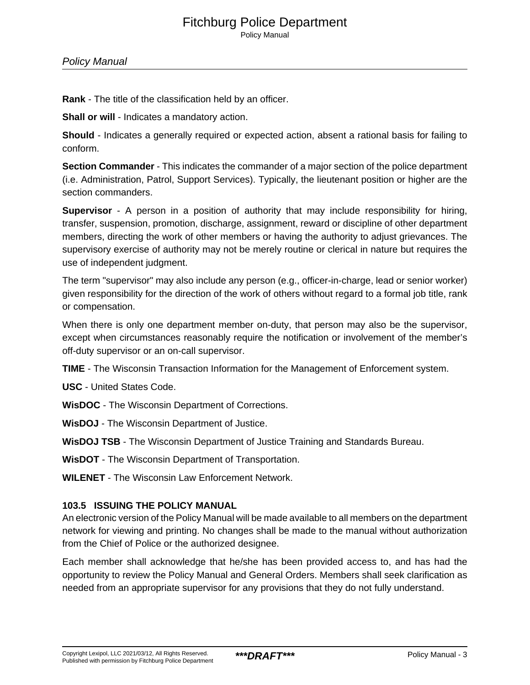# Fitchburg Police Department

Policy Manual

**Rank** - The title of the classification held by an officer.

**Shall or will** - Indicates a mandatory action.

**Should** - Indicates a generally required or expected action, absent a rational basis for failing to conform.

**Section Commander** - This indicates the commander of a major section of the police department (i.e. Administration, Patrol, Support Services). Typically, the lieutenant position or higher are the section commanders.

**Supervisor** - A person in a position of authority that may include responsibility for hiring, transfer, suspension, promotion, discharge, assignment, reward or discipline of other department members, directing the work of other members or having the authority to adjust grievances. The supervisory exercise of authority may not be merely routine or clerical in nature but requires the use of independent judgment.

The term "supervisor" may also include any person (e.g., officer-in-charge, lead or senior worker) given responsibility for the direction of the work of others without regard to a formal job title, rank or compensation.

When there is only one department member on-duty, that person may also be the supervisor, except when circumstances reasonably require the notification or involvement of the member's off-duty supervisor or an on-call supervisor.

**TIME** - The Wisconsin Transaction Information for the Management of Enforcement system.

**USC** - United States Code.

**WisDOC** - The Wisconsin Department of Corrections.

**WisDOJ** - The Wisconsin Department of Justice.

**WisDOJ TSB** - The Wisconsin Department of Justice Training and Standards Bureau.

**WisDOT** - The Wisconsin Department of Transportation.

**WILENET** - The Wisconsin Law Enforcement Network.

#### **103.5 ISSUING THE POLICY MANUAL**

An electronic version of the Policy Manual will be made available to all members on the department network for viewing and printing. No changes shall be made to the manual without authorization from the Chief of Police or the authorized designee.

Each member shall acknowledge that he/she has been provided access to, and has had the opportunity to review the Policy Manual and General Orders. Members shall seek clarification as needed from an appropriate supervisor for any provisions that they do not fully understand.